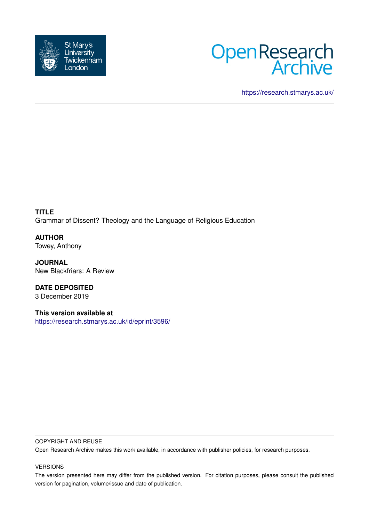



<https://research.stmarys.ac.uk/>

**TITLE** Grammar of Dissent? Theology and the Language of Religious Education

**AUTHOR** Towey, Anthony

**JOURNAL** New Blackfriars: A Review

**DATE DEPOSITED** 3 December 2019

**This version available at** <https://research.stmarys.ac.uk/id/eprint/3596/>

#### COPYRIGHT AND REUSE

Open Research Archive makes this work available, in accordance with publisher policies, for research purposes.

#### VERSIONS

The version presented here may differ from the published version. For citation purposes, please consult the published version for pagination, volume/issue and date of publication.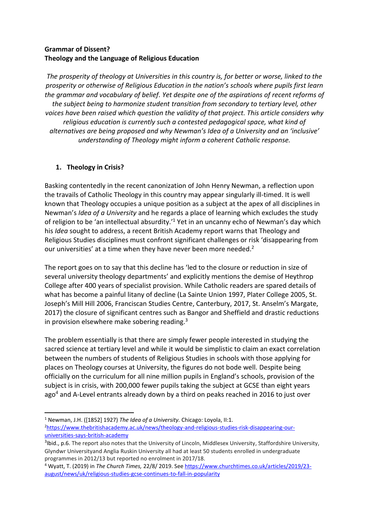## **Grammar of Dissent? Theology and the Language of Religious Education**

*The prosperity of theology at Universities in this country is, for better or worse, linked to the prosperity or otherwise of Religious Education in the nation's schools where pupils first learn the grammar and vocabulary of belief. Yet despite one of the aspirations of recent reforms of the subject being to harmonize student transition from secondary to tertiary level, other voices have been raised which question the validity of that project. This article considers why religious education is currently such a contested pedagogical space, what kind of alternatives are being proposed and why Newman's Idea of a University and an 'inclusive' understanding of Theology might inform a coherent Catholic response.*

# **1. Theology in Crisis?**

Basking contentedly in the recent canonization of John Henry Newman, a reflection upon the travails of Catholic Theology in this country may appear singularly ill-timed. It is well known that Theology occupies a unique position as a subject at the apex of all disciplines in Newman's *Idea of a University* and he regards a place of learning which excludes the study of religion to be 'an intellectual absurdity.'<sup>1</sup> Yet in an uncanny echo of Newman's day which his *Idea* sought to address, a recent British Academy report warns that Theology and Religious Studies disciplines must confront significant challenges or risk 'disappearing from our universities' at a time when they have never been more needed.<sup>2</sup>

The report goes on to say that this decline has 'led to the closure or reduction in size of several university theology departments' and explicitly mentions the demise of Heythrop College after 400 years of specialist provision. While Catholic readers are spared details of what has become a painful litany of decline (La Sainte Union 1997, Plater College 2005, St. Joseph's Mill Hill 2006, Franciscan Studies Centre, Canterbury, 2017, St. Anselm's Margate, 2017) the closure of significant centres such as Bangor and Sheffield and drastic reductions in provision elsewhere make sobering reading.<sup>3</sup>

The problem essentially is that there are simply fewer people interested in studying the sacred science at tertiary level and while it would be simplistic to claim an exact correlation between the numbers of students of Religious Studies in schools with those applying for places on Theology courses at University, the figures do not bode well. Despite being officially on the curriculum for all nine million pupils in England's schools, provision of the subject is in crisis, with 200,000 fewer pupils taking the subject at GCSE than eight years ago<sup>4</sup> and A-Level entrants already down by a third on peaks reached in 2016 to just over

**.** <sup>1</sup> Newman, J.H. ([1852] 1927) *The Idea of a University.* Chicago: Loyola, II:1. 2[https://www.thebritishacademy.ac.uk/news/theology-and-religious-studies-risk-disappearing-our](https://www.thebritishacademy.ac.uk/news/theology-and-religious-studies-risk-disappearing-our-universities-says-british-academy)[universities-says-british-academy](https://www.thebritishacademy.ac.uk/news/theology-and-religious-studies-risk-disappearing-our-universities-says-british-academy)

<sup>&</sup>lt;sup>3</sup>Ibid., p.6. The report also notes that the University of Lincoln, Middlesex University, Staffordshire University, Glyndwr Universityand Anglia Ruskin University all had at least 50 students enrolled in undergraduate programmes in 2012/13 but reported no enrolment in 2017/18.

<sup>4</sup> Wyatt, T. (2019) in *The Church Times,* 22/8/ 2019. Se[e https://www.churchtimes.co.uk/articles/2019/23](https://www.churchtimes.co.uk/articles/2019/23-august/news/uk/religious-studies-gcse-continues-to-fall-in-popularity) [august/news/uk/religious-studies-gcse-continues-to-fall-in-popularity](https://www.churchtimes.co.uk/articles/2019/23-august/news/uk/religious-studies-gcse-continues-to-fall-in-popularity)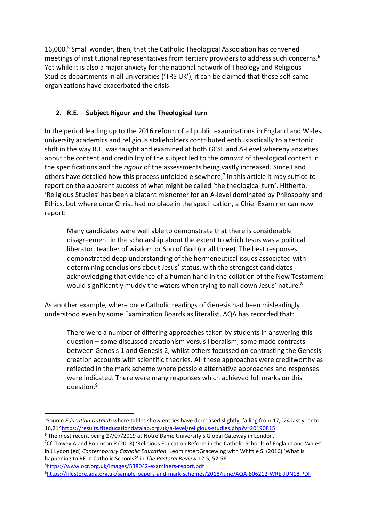16,000.<sup>5</sup> Small wonder, then, that the Catholic Theological Association has convened meetings of institutional representatives from tertiary providers to address such concerns. 6 Yet while it is also a major anxiety for the national network of Theology and Religious Studies departments in all universities ('TRS UK'), it can be claimed that these self-same organizations have exacerbated the crisis.

# **2. R.E. – Subject Rigour and the Theological turn**

In the period leading up to the 2016 reform of all public examinations in England and Wales, university academics and religious stakeholders contributed enthusiastically to a tectonic shift in the way R.E. was taught and examined at both GCSE and A-Level whereby anxieties about the content and credibility of the subject led to the *amount* of theological content in the specifications and the *rigour* of the assessments being vastly increased. Since I and others have detailed how this process unfolded elsewhere,<sup>7</sup> in this article it may suffice to report on the apparent success of what might be called 'the theological turn'. Hitherto, 'Religious Studies' has been a blatant misnomer for an A-level dominated by Philosophy and Ethics, but where once Christ had no place in the specification, a Chief Examiner can now report:

Many candidates were well able to demonstrate that there is considerable disagreement in the scholarship about the extent to which Jesus was a political liberator, teacher of wisdom or Son of God (or all three). The best responses demonstrated deep understanding of the hermeneutical issues associated with determining conclusions about Jesus' status, with the strongest candidates acknowledging that evidence of a human hand in the collation of the New Testament would significantly muddy the waters when trying to nail down Jesus' nature.<sup>8</sup>

As another example, where once Catholic readings of Genesis had been misleadingly understood even by some Examination Boards as literalist, AQA has recorded that:

There were a number of differing approaches taken by students in answering this question – some discussed creationism versus liberalism, some made contrasts between Genesis 1 and Genesis 2, whilst others focussed on contrasting the Genesis creation accounts with scientific theories. All these approaches were creditworthy as reflected in the mark scheme where possible alternative approaches and responses were indicated. There were many responses which achieved full marks on this question.<sup>9</sup>

1

<sup>5</sup> Source *Education Datalab* where tables show entries have decreased slightly, falling from 17,024 last year to 16,21[4https://results.ffteducationdatalab.org.uk/a-level/religious-studies.php?v=20190815](https://results.ffteducationdatalab.org.uk/a-level/religious-studies.php?v=20190815)

<sup>&</sup>lt;sup>6</sup> The most recent being 27/07/2019 at Notre Dame University's Global Gateway in London.

<sup>&</sup>lt;sup>7</sup>Cf. Towey A and Robinson P (2018) 'Religious Education Reform in the Catholic Schools of England and Wales' in J Lydon (ed) *Contemporary Catholic Education.* Leominster:Gracewing with Whittle S. (2016) 'What is happening to RE in Catholic Schools?' in *The Pastoral Review* 12:5, 52-56. <sup>8</sup><https://www.ocr.org.uk/Images/538042-examiners-report.pdf>

<sup>9</sup><https://filestore.aqa.org.uk/sample-papers-and-mark-schemes/2018/june/AQA-806212-WRE-JUN18.PDF>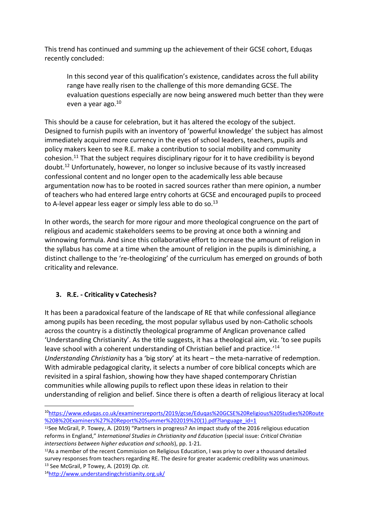This trend has continued and summing up the achievement of their GCSE cohort, Eduqas recently concluded:

In this second year of this qualification's existence, candidates across the full ability range have really risen to the challenge of this more demanding GCSE. The evaluation questions especially are now being answered much better than they were even a year ago.<sup>10</sup>

This should be a cause for celebration, but it has altered the ecology of the subject. Designed to furnish pupils with an inventory of 'powerful knowledge' the subject has almost immediately acquired more currency in the eyes of school leaders, teachers, pupils and policy makers keen to see R.E. make a contribution to social mobility and community cohesion.<sup>11</sup> That the subject requires disciplinary rigour for it to have credibility is beyond doubt.<sup>12</sup> Unfortunately, however, no longer so inclusive because of its vastly increased confessional content and no longer open to the academically less able because argumentation now has to be rooted in sacred sources rather than mere opinion, a number of teachers who had entered large entry cohorts at GCSE and encouraged pupils to proceed to A-level appear less eager or simply less able to do so. $13$ 

In other words, the search for more rigour and more theological congruence on the part of religious and academic stakeholders seems to be proving at once both a winning and winnowing formula. And since this collaborative effort to increase the amount of religion in the syllabus has come at a time when the amount of religion in the pupils is diminishing, a distinct challenge to the 're-theologizing' of the curriculum has emerged on grounds of both criticality and relevance.

### **3. R.E. - Criticality v Catechesis?**

It has been a paradoxical feature of the landscape of RE that while confessional allegiance among pupils has been receding, the most popular syllabus used by non-Catholic schools across the country is a distinctly theological programme of Anglican provenance called 'Understanding Christianity'. As the title suggests, it has a theological aim, viz. 'to see pupils leave school with a coherent understanding of Christian belief and practice.'<sup>14</sup> *Understanding Christianity* has a 'big story' at its heart – the meta-narrative of redemption. With admirable pedagogical clarity, it selects a number of core biblical concepts which are revisited in a spiral fashion, showing how they have shaped contemporary Christian communities while allowing pupils to reflect upon these ideas in relation to their understanding of religion and belief. Since there is often a dearth of religious literacy at local

 $\overline{\phantom{a}}$ 

<sup>10</sup>[https://www.eduqas.co.uk/examinersreports/2019/gcse/Eduqas%20GCSE%20Religious%20Studies%20Route](https://www.eduqas.co.uk/examinersreports/2019/gcse/Eduqas%20GCSE%20Religious%20Studies%20Route%20B%20Examiners%27%20Report%20Summer%202019%20(1).pdf?language_id=1) [%20B%20Examiners%27%20Report%20Summer%202019%20\(1\).pdf?language\\_id=1](https://www.eduqas.co.uk/examinersreports/2019/gcse/Eduqas%20GCSE%20Religious%20Studies%20Route%20B%20Examiners%27%20Report%20Summer%202019%20(1).pdf?language_id=1)

<sup>11</sup>See McGrail, P. Towey, A. (2019) "Partners in progress? An impact study of the 2016 religious education reforms in England," *International Studies in Christianity and Education* (special issue: *Critical Christian intersections between higher education and schools*), pp. 1-21.

<sup>&</sup>lt;sup>12</sup>As a member of the recent Commission on Religious Education, I was privy to over a thousand detailed survey responses from teachers regarding RE. The desire for greater academic credibility was unanimous. <sup>13</sup> See McGrail, P Towey, A. (2019) *Op. cit.*

<sup>14</sup><http://www.understandingchristianity.org.uk/>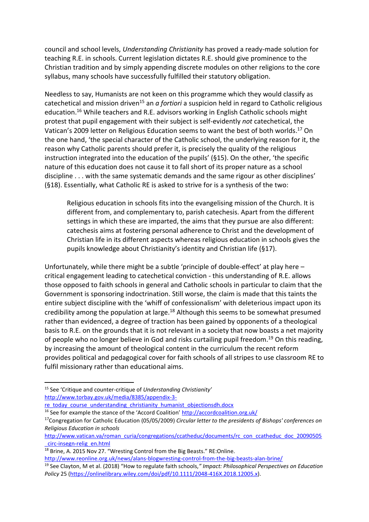council and school levels, *Understanding Christianity* has proved a ready-made solution for teaching R.E. in schools. Current legislation dictates R.E. should give prominence to the Christian tradition and by simply appending discrete modules on other religions to the core syllabus, many schools have successfully fulfilled their statutory obligation.

Needless to say, Humanists are not keen on this programme which they would classify as catechetical and mission driven<sup>15</sup> an *a fortiori* a suspicion held in regard to Catholic religious education. <sup>16</sup> While teachers and R.E. advisors working in English Catholic schools might protest that pupil engagement with their subject is self-evidently *not* catechetical, the Vatican's 2009 letter on Religious Education seems to want the best of both worlds. <sup>17</sup> On the one hand, 'the special character of the Catholic school, the underlying reason for it, the reason why Catholic parents should prefer it, is precisely the quality of the religious instruction integrated into the education of the pupils' (§15). On the other, 'the specific nature of this education does not cause it to fall short of its proper nature as a school discipline . . . with the same systematic demands and the same rigour as other disciplines' (§18). Essentially, what Catholic RE is asked to strive for is a synthesis of the two:

Religious education in schools fits into the evangelising mission of the Church. It is different from, and complementary to, parish catechesis. Apart from the different settings in which these are imparted, the aims that they pursue are also different: catechesis aims at fostering personal adherence to Christ and the development of Christian life in its different aspects whereas religious education in schools gives the pupils knowledge about Christianity's identity and Christian life (§17).

Unfortunately, while there might be a subtle 'principle of double-effect' at play here – critical engagement leading to catechetical conviction - this understanding of R.E. allows those opposed to faith schools in general and Catholic schools in particular to claim that the Government is sponsoring indoctrination. Still worse, the claim is made that this taints the entire subject discipline with the 'whiff of confessionalism' with deleterious impact upon its credibility among the population at large.<sup>18</sup> Although this seems to be somewhat presumed rather than evidenced, a degree of traction has been gained by opponents of a theological basis to R.E. on the grounds that it is not relevant in a society that now boasts a net majority of people who no longer believe in God and risks curtailing pupil freedom.<sup>19</sup> On this reading, by increasing the amount of theological content in the curriculum the recent reform provides political and pedagogical cover for faith schools of all stripes to use classroom RE to fulfil missionary rather than educational aims.

**.** 

<http://www.reonline.org.uk/news/alans-blogwresting-control-from-the-big-beasts-alan-brine/>

<sup>15</sup> See 'Critique and counter-critique of *Understanding Christianity'*  [http://www.torbay.gov.uk/media/8385/appendix-3-](http://www.torbay.gov.uk/media/8385/appendix-3-re_today_course_understanding_christianity_humanist_objectionsdh.docx)

[re\\_today\\_course\\_understanding\\_christianity\\_humanist\\_objectionsdh.docx](http://www.torbay.gov.uk/media/8385/appendix-3-re_today_course_understanding_christianity_humanist_objectionsdh.docx)

<sup>16</sup> See for example the stance of the 'Accord Coalition' <http://accordcoalition.org.uk/>

<sup>17</sup>Congregation for Catholic Education (05/05/2009) *Circular letter to the presidents of Bishops' conferences on Religious Education in schools*

[http://www.vatican.va/roman\\_curia/congregations/ccatheduc/documents/rc\\_con\\_ccatheduc\\_doc\\_20090505](http://www.vatican.va/roman_curia/congregations/ccatheduc/documents/rc_con_ccatheduc_doc_20090505_circ-insegn-relig_en.html) [\\_circ-insegn-relig\\_en.html](http://www.vatican.va/roman_curia/congregations/ccatheduc/documents/rc_con_ccatheduc_doc_20090505_circ-insegn-relig_en.html)

<sup>&</sup>lt;sup>18</sup> Brine, A. 2015 Nov 27. "Wresting Control from the Big Beasts." RE:Online.

<sup>19</sup> See Clayton, M et al. (2018) "How to regulate faith schools,*" Impact: Philosophical Perspectives on Education Policy* 25 [\(https://onlinelibrary.wiley.com/doi/pdf/10.1111/2048-416X.2018.12005.x\)](https://onlinelibrary.wiley.com/doi/pdf/10.1111/2048-416X.2018.12005.x).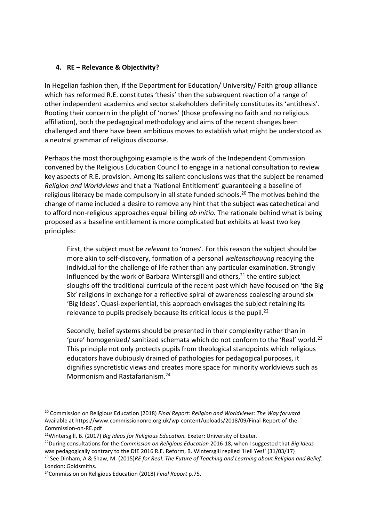### **4. RE – Relevance & Objectivity?**

In Hegelian fashion then, if the Department for Education/ University/ Faith group alliance which has reformed R.E. constitutes 'thesis' then the subsequent reaction of a range of other independent academics and sector stakeholders definitely constitutes its 'antithesis'. Rooting their concern in the plight of 'nones' (those professing no faith and no religious affiliation), both the pedagogical methodology and aims of the recent changes been challenged and there have been ambitious moves to establish what might be understood as a neutral grammar of religious discourse.

Perhaps the most thoroughgoing example is the work of the Independent Commission convened by the Religious Education Council to engage in a national consultation to review key aspects of R.E. provision. Among its salient conclusions was that the subject be renamed *Religion and Worldviews* and that a 'National Entitlement' guaranteeing a baseline of religious literacy be made compulsory in all state funded schools.<sup>20</sup> The motives behind the change of name included a desire to remove any hint that the subject was catechetical and to afford non-religious approaches equal billing *ab initio.* The rationale behind what is being proposed as a baseline entitlement is more complicated but exhibits at least two key principles:

First, the subject must be *relevant* to 'nones'. For this reason the subject should be more akin to self-discovery, formation of a personal *weltenschauung* readying the individual for the challenge of life rather than any particular examination. Strongly influenced by the work of Barbara Wintersgill and others, <sup>21</sup> the entire subject sloughs off the traditional curricula of the recent past which have focused on 'the Big Six' religions in exchange for a reflective spiral of awareness coalescing around six 'Big Ideas'. Quasi-experiential, this approach envisages the subject retaining its relevance to pupils precisely because its critical locus *is* the pupil.<sup>22</sup>

Secondly, belief systems should be presented in their complexity rather than in 'pure' homogenized/ sanitized schemata which do not conform to the 'Real' world.<sup>23</sup> This principle not only protects pupils from theological standpoints which religious educators have dubiously drained of pathologies for pedagogical purposes, it dignifies syncretistic views and creates more space for minority worldviews such as Mormonism and Rastafarianism.<sup>24</sup>

 $\overline{\phantom{a}}$ 

<sup>20</sup> Commission on Religious Education (2018) *Final Report: Religion and Worldviews: The Way forward*  Available at https://www.commissiononre.org.uk/wp-content/uploads/2018/09/Final-Report-of-the-Commission-on-RE.pdf

<sup>21</sup>Wintersgill, B. (2017) *Big Ideas for Religious Education.* Exeter: University of Exeter.

<sup>22</sup>During consultations for the *Commission on Religious Education* 2016-18, when I suggested that *Big Ideas*  was pedagogically contrary to the DfE 2016 R.E. Reform, B. Wintersgill replied 'Hell Yes!' (31/03/17)

<sup>23</sup> See Dinham, A & Shaw, M. (2015)*RE for Real: The Future of Teaching and Learning about Religion and Belief.*  London: Goldsmiths.

<sup>24</sup>Commission on Religious Education (2018) *Final Report* p.75.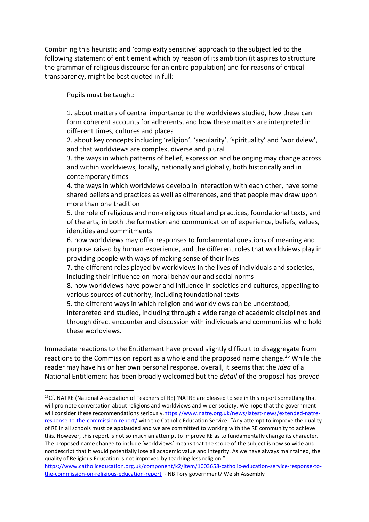Combining this heuristic and 'complexity sensitive' approach to the subject led to the following statement of entitlement which by reason of its ambition (it aspires to structure the grammar of religious discourse for an entire population) and for reasons of critical transparency, might be best quoted in full:

Pupils must be taught:

 $\overline{\phantom{a}}$ 

1. about matters of central importance to the worldviews studied, how these can form coherent accounts for adherents, and how these matters are interpreted in different times, cultures and places

2. about key concepts including 'religion', 'secularity', 'spirituality' and 'worldview', and that worldviews are complex, diverse and plural

3. the ways in which patterns of belief, expression and belonging may change across and within worldviews, locally, nationally and globally, both historically and in contemporary times

4. the ways in which worldviews develop in interaction with each other, have some shared beliefs and practices as well as differences, and that people may draw upon more than one tradition

5. the role of religious and non-religious ritual and practices, foundational texts, and of the arts, in both the formation and communication of experience, beliefs, values, identities and commitments

6. how worldviews may offer responses to fundamental questions of meaning and purpose raised by human experience, and the different roles that worldviews play in providing people with ways of making sense of their lives

7. the different roles played by worldviews in the lives of individuals and societies, including their influence on moral behaviour and social norms

8. how worldviews have power and influence in societies and cultures, appealing to various sources of authority, including foundational texts

9. the different ways in which religion and worldviews can be understood,

interpreted and studied, including through a wide range of academic disciplines and through direct encounter and discussion with individuals and communities who hold these worldviews.

Immediate reactions to the Entitlement have proved slightly difficult to disaggregate from reactions to the Commission report as a whole and the proposed name change.<sup>25</sup> While the reader may have his or her own personal response, overall, it seems that the *idea* of a National Entitlement has been broadly welcomed but the *detail* of the proposal has proved

<sup>&</sup>lt;sup>25</sup>Cf. NATRE (National Association of Teachers of RE) 'NATRE are pleased to see in this report something that will promote conversation about religions and worldviews and wider society. We hope that the government will consider these recommendations seriously[.https://www.natre.org.uk/news/latest-news/extended-natre](https://www.natre.org.uk/news/latest-news/extended-natre-response-to-the-commission-report/)[response-to-the-commission-report/](https://www.natre.org.uk/news/latest-news/extended-natre-response-to-the-commission-report/) with the Catholic Education Service: "Any attempt to improve the quality of RE in all schools must be applauded and we are committed to working with the RE community to achieve this. However, this report is not so much an attempt to improve RE as to fundamentally change its character. The proposed name change to include 'worldviews' means that the scope of the subject is now so wide and nondescript that it would potentially lose all academic value and integrity. As we have always maintained, the quality of Religious Education is not improved by teaching less religion."

[https://www.catholiceducation.org.uk/component/k2/item/1003658-catholic-education-service-response-to](https://www.catholiceducation.org.uk/component/k2/item/1003658-catholic-education-service-response-to-the-commission-on-religious-education-report)[the-commission-on-religious-education-report](https://www.catholiceducation.org.uk/component/k2/item/1003658-catholic-education-service-response-to-the-commission-on-religious-education-report) - NB Tory government/ Welsh Assembly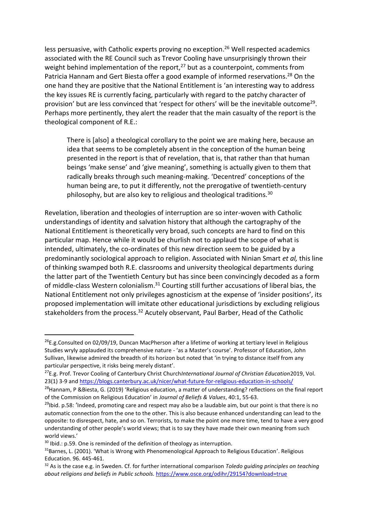less persuasive, with Catholic experts proving no exception.<sup>26</sup> Well respected academics associated with the RE Council such as Trevor Cooling have unsurprisingly thrown their weight behind implementation of the report.<sup>27</sup> but as a counterpoint, comments from Patricia Hannam and Gert Biesta offer a good example of informed reservations.<sup>28</sup> On the one hand they are positive that the National Entitlement is 'an interesting way to address the key issues RE is currently facing, particularly with regard to the patchy character of provision' but are less convinced that 'respect for others' will be the inevitable outcome<sup>29</sup>. Perhaps more pertinently, they alert the reader that the main casualty of the report is the theological component of R.E.:

There is [also] a theological corollary to the point we are making here, because an idea that seems to be completely absent in the conception of the human being presented in the report is that of revelation, that is, that rather than that human beings 'make sense' and 'give meaning', something is actually given to them that radically breaks through such meaning-making. 'Decentred' conceptions of the human being are, to put it differently, not the prerogative of twentieth-century philosophy, but are also key to religious and theological traditions.<sup>30</sup>

Revelation, liberation and theologies of interruption are so inter-woven with Catholic understandings of identity and salvation history that although the cartography of the National Entitlement is theoretically very broad, such concepts are hard to find on this particular map. Hence while it would be churlish not to applaud the scope of what is intended, ultimately, the co-ordinates of this new direction seem to be guided by a predominantly sociological approach to religion. Associated with Ninian Smart *et al,* this line of thinking swamped both R.E. classrooms and university theological departments during the latter part of the Twentieth Century but has since been convincingly decoded as a form of middle-class Western colonialism.<sup>31</sup> Courting still further accusations of liberal bias, the National Entitlement not only privileges agnosticism at the expense of 'insider positions', its proposed implementation will imitate other educational jurisdictions by excluding religious stakeholders from the process.<sup>32</sup> Acutely observant, Paul Barber, Head of the Catholic

1

<sup>&</sup>lt;sup>26</sup>E.g.Consulted on 02/09/19, Duncan MacPherson after a lifetime of working at tertiary level in Religious Studies wryly applauded its comprehensive nature - 'as a Master's course'. Professor of Education, John Sullivan, likewise admired the breadth of its horizon but noted that 'in trying to distance itself from any particular perspective, it risks being merely distant'.

<sup>27</sup>E.g. Prof. Trevor Cooling of Canterbury Christ Church*International Journal of Christian Education*2019, Vol. 23(1) 3-9 an[d https://blogs.canterbury.ac.uk/nicer/what-future-for-religious-education-in-schools/](https://blogs.canterbury.ac.uk/nicer/what-future-for-religious-education-in-schools/)

<sup>&</sup>lt;sup>28</sup>Hannam, P &Biesta, G. (2019) 'Religious education, a matter of understanding? reflections on the final report of the Commission on Religious Education' in *Journal of Beliefs & Values*, 40:1, 55-63.

 $^{29}$ Ibid. p.58: 'Indeed, promoting care and respect may also be a laudable aim, but our point is that there is no automatic connection from the one to the other. This is also because enhanced understanding can lead to the opposite: to disrespect, hate, and so on. Terrorists, to make the point one more time, tend to have a very good understanding of other people's world views; that is to say they have made their own meaning from such world views.'

 $30$  Ibid.: p.59. One is reminded of the definition of theology as interruption.

 $31$ Barnes, L. (2001). 'What is Wrong with Phenomenological Approach to Religious Education'. Religious Education. 96. 445-461.

<sup>32</sup> As is the case e.g. in Sweden. Cf. for further international comparison *Toledo guiding principles on teaching about religions and beliefs in Public schools.* <https://www.osce.org/odihr/29154?download=true>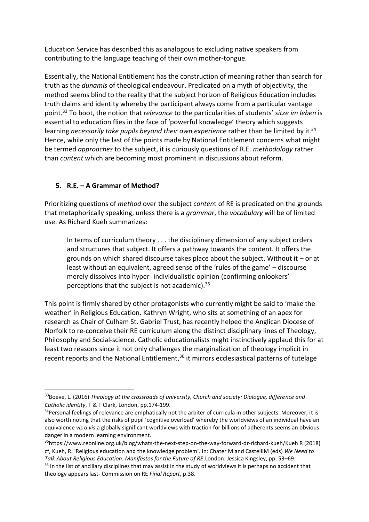Education Service has described this as analogous to excluding native speakers from contributing to the language teaching of their own mother-tongue.

Essentially, the National Entitlement has the construction of meaning rather than search for truth as the *dunamis* of theological endeavour. Predicated on a myth of objectivity, the method seems blind to the reality that the subject horizon of Religious Education includes truth claims and identity whereby the participant always come from a particular vantage point.<sup>33</sup> To boot, the notion that *relevance* to the particularities of students' *sitze im leben* is essential to education flies in the face of 'powerful knowledge' theory which suggests learning necessarily take pupils beyond their own experience rather than be limited by it.<sup>34</sup> Hence, while only the last of the points made by National Entitlement concerns what might be termed *approaches* to the subject, it is curiously questions of R.E. *methodology* rather than *content* which are becoming most prominent in discussions about reform.

### **5. R.E. – A Grammar of Method?**

**.** 

Prioritizing questions of *method* over the subject *conten*t of RE is predicated on the grounds that metaphorically speaking, unless there is a *grammar*, the *vocabulary* will be of limited use. As Richard Kueh summarizes:

In terms of curriculum theory . . . the disciplinary dimension of any subject orders and structures that subject. It offers a pathway towards the content. It offers the grounds on which shared discourse takes place about the subject. Without it – or at least without an equivalent, agreed sense of the 'rules of the game' – discourse merely dissolves into hyper- individualistic opinion (confirming onlookers' perceptions that the subject is not academic).<sup>35</sup>

This point is firmly shared by other protagonists who currently might be said to 'make the weather' in Religious Education. Kathryn Wright, who sits at something of an apex for research as Chair of Culham St. Gabriel Trust, has recently helped the Anglican Diocese of Norfolk to re-conceive their RE curriculum along the distinct disciplinary lines of Theology, Philosophy and Social-science. Catholic educationalists might instinctively applaud this for at least two reasons since it not only challenges the marginalization of theology implicit in recent reports and the National Entitlement,<sup>36</sup> it mirrors ecclesiastical patterns of tutelage

<sup>33</sup>Boeve, L. (2016) *Theology at the crossroads of university, Church and society: Dialogue, difference and Catholic identity*, T & T Clark, London, pp.174-199.

<sup>&</sup>lt;sup>34</sup> Personal feelings of relevance are emphatically not the arbiter of curricula in other subjects. Moreover, it is also worth noting that the risks of pupil 'cognitive overload' whereby the worldviews of an individual have an equivalence *vis a vis* a globally significant worldviews with traction for billions of adherents seems an obvious danger in a modern learning environment.

<sup>35</sup>https://www.reonline.org.uk/blog/whats-the-next-step-on-the-way-forward-dr-richard-kueh/Kueh R (2018) cf, Kueh, R. 'Religious education and the knowledge problem'. In: Chater M and CastelliM (eds) *We Need to Talk About Religious Education: Manifestos for the Future of RE*.London: Jessica Kingsley, pp. 53–69.

 $36$  In the list of ancillary disciplines that may assist in the study of worldviews it is perhaps no accident that theology appears last- Commission on RE *Final Report*, p.38.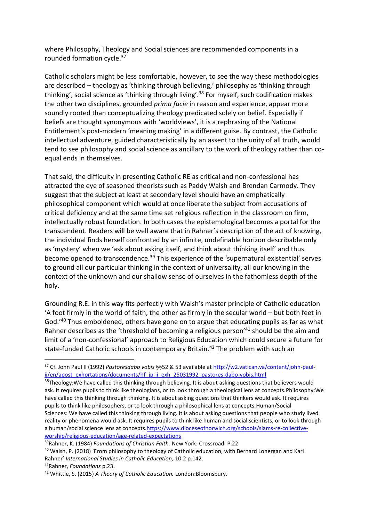where Philosophy, Theology and Social sciences are recommended components in a rounded formation cycle. 37

Catholic scholars might be less comfortable, however, to see the way these methodologies are described – theology as 'thinking through believing,' philosophy as 'thinking through thinking', social science as 'thinking through living'.<sup>38</sup> For myself, such codification makes the other two disciplines, grounded *prima facie* in reason and experience, appear more soundly rooted than conceptualizing theology predicated solely on belief. Especially if beliefs are thought synonymous with 'worldviews', it is a rephrasing of the National Entitlement's post-modern 'meaning making' in a different guise. By contrast, the Catholic intellectual adventure, guided characteristically by an assent to the unity of all truth, would tend to see philosophy and social science as ancillary to the work of theology rather than coequal ends in themselves.

That said, the difficulty in presenting Catholic RE as critical and non-confessional has attracted the eye of seasoned theorists such as Paddy Walsh and Brendan Carmody. They suggest that the subject at least at secondary level should have an emphatically philosophical component which would at once liberate the subject from accusations of critical deficiency and at the same time set religious reflection in the classroom on firm, intellectually robust foundation. In both cases the epistemological becomes a portal for the transcendent. Readers will be well aware that in Rahner's description of the act of knowing, the individual finds herself confronted by an infinite, undefinable horizon describable only as 'mystery' when we 'ask about asking itself, and think about thinking itself' and thus become opened to transcendence.<sup>39</sup> This experience of the 'supernatural existential' serves to ground all our particular thinking in the context of universality, all our knowing in the context of the unknown and our shallow sense of ourselves in the fathomless depth of the holy.

Grounding R.E. in this way fits perfectly with Walsh's master principle of Catholic education 'A foot firmly in the world of faith, the other as firmly in the secular world – but both feet in God.'<sup>40</sup> Thus emboldened, others have gone on to argue that educating pupils as far as what Rahner describes as the 'threshold of becoming a religious person'<sup>41</sup> should be the aim and limit of a 'non-confessional' approach to Religious Education which could secure a future for state-funded Catholic schools in contemporary Britain. <sup>42</sup> The problem with such an

<sup>37</sup> Cf. John Paul II (1992) *Pastoresdabo vobis* §§52 & 53 available at [http://w2.vatican.va/content/john-paul](http://w2.vatican.va/content/john-paul-ii/en/apost_exhortations/documents/hf_jp-ii_exh_25031992_pastores-dabo-vobis.html)[ii/en/apost\\_exhortations/documents/hf\\_jp-ii\\_exh\\_25031992\\_pastores-dabo-vobis.html](http://w2.vatican.va/content/john-paul-ii/en/apost_exhortations/documents/hf_jp-ii_exh_25031992_pastores-dabo-vobis.html)

<sup>&</sup>lt;sup>38</sup>Theology: We have called this thinking through believing. It is about asking questions that believers would ask. It requires pupils to think like theologians, or to look through a theological lens at concepts.Philosophy:We have called this thinking through thinking. It is about asking questions that thinkers would ask. It requires pupils to think like philosophers, or to look through a philosophical lens at concepts.Human/Social Sciences: We have called this thinking through living. It is about asking questions that people who study lived reality or phenomena would ask. It requires pupils to think like human and social scientists, or to look through a human/social science lens at concept[s.https://www.dioceseofnorwich.org/schools/siams-re-collective](https://www.dioceseofnorwich.org/schools/siams-re-collective-worship/religious-education/age-related-expectations)[worship/religious-education/age-related-expectations](https://www.dioceseofnorwich.org/schools/siams-re-collective-worship/religious-education/age-related-expectations)

<sup>39</sup>Rahner, K. (1984) *Foundations of Christian Faith.* New York: Crossroad. P.22

<sup>40</sup> Walsh, P. (2018) 'From philosophy to theology of Catholic education, with Bernard Lonergan and Karl Rahner' *International Studies in Catholic Education,* 10:2 p.142.

<sup>41</sup>Rahner, *Foundations* p.23.

<sup>42</sup> Whittle, S. (2015) *A Theory of Catholic Education.* London:Bloomsbury.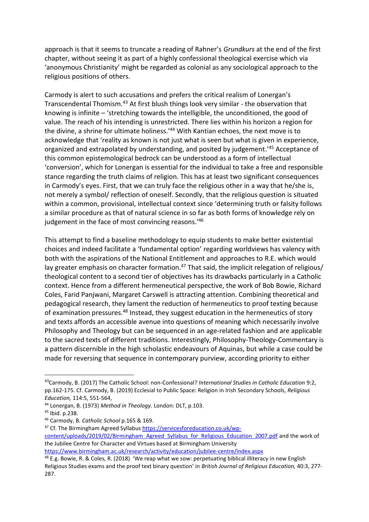approach is that it seems to truncate a reading of Rahner's *Grundkurs* at the end of the first chapter, without seeing it as part of a highly confessional theological exercise which via 'anonymous Christianity' might be regarded as colonial as any sociological approach to the religious positions of others.

Carmody is alert to such accusations and prefers the critical realism of Lonergan's Transcendental Thomism.<sup>43</sup> At first blush things look very similar - the observation that knowing is infinite – 'stretching towards the intelligible, the unconditioned, the good of value. The reach of his intending is unrestricted. There lies within his horizon a region for the divine, a shrine for ultimate holiness.'<sup>44</sup> With Kantian echoes, the next move is to acknowledge that 'reality as known is not just what is seen but what is given in experience, organized and extrapolated by understanding, and posited by judgement.' <sup>45</sup> Acceptance of this common epistemological bedrock can be understood as a form of intellectual 'conversion', which for Lonergan is essential for the individual to take a free and responsible stance regarding the truth claims of religion. This has at least two significant consequences in Carmody's eyes. First, that we can truly face the religious other in a way that he/she is, not merely a symbol/ reflection of oneself. Secondly, that the religious question is situated within a common, provisional, intellectual context since 'determining truth or falsity follows a similar procedure as that of natural science in so far as both forms of knowledge rely on judgement in the face of most convincing reasons.<sup>'46</sup>

This attempt to find a baseline methodology to equip students to make better existential choices and indeed facilitate a 'fundamental option' regarding worldviews has valency with both with the aspirations of the National Entitlement and approaches to R.E. which would lay greater emphasis on character formation.<sup>47</sup> That said, the implicit relegation of religious/ theological content to a second tier of objectives has its drawbacks particularly in a Catholic context. Hence from a different hermeneutical perspective, the work of Bob Bowie, Richard Coles, Farid Panjwani, Margaret Carswell is attracting attention. Combining theoretical and pedagogical research, they lament the reduction of hermeneutics to proof texting because of examination pressures.<sup>48</sup> Instead, they suggest education in the hermeneutics of story and texts affords an accessible avenue into questions of meaning which necessarily involve Philosophy and Theology but can be sequenced in an age-related fashion and are applicable to the sacred texts of different traditions. Interestingly, Philosophy-Theology-Commentary is a pattern discernible in the high scholastic endeavours of Aquinas, but while a case could be made for reversing that sequence in contemporary purview, according priority to either

**.** 

<sup>47</sup> Cf. The Birmingham Agreed Syllabus [https://servicesforeducation.co.uk/wp-](https://servicesforeducation.co.uk/wp-content/uploads/2019/02/Birmingham_Agreed_Syllabus_for_Religious_Education_2007.pdf)

<sup>43</sup>Carmody, B. (2017) The Catholic School: non-Confessional? *International Studies in Catholic Education* 9:2, pp.162-175. Cf. Carmody, B. (2019) Ecclesial to Public Space: Religion in Irish Secondary Schools, *Religious Education,* 114:5, 551-564,

<sup>44</sup> Lonergan, B. (1973) *Method in Theology.* London: DLT, p.103.

<sup>45</sup> Ibid. p.238.

<sup>46</sup> Carmody, B. *Catholic School* p.165 & 169.

[content/uploads/2019/02/Birmingham\\_Agreed\\_Syllabus\\_for\\_Religious\\_Education\\_2007.pdf](https://servicesforeducation.co.uk/wp-content/uploads/2019/02/Birmingham_Agreed_Syllabus_for_Religious_Education_2007.pdf) and the work of the Jubilee Centre for Character and Virtues based at Birmingham University

<https://www.birmingham.ac.uk/research/activity/education/jubilee-centre/index.aspx>

<sup>&</sup>lt;sup>48</sup> E.g. Bowie, R. & Coles, R. (2018) 'We reap what we sow: perpetuating biblical illiteracy in new English Religious Studies exams and the proof text binary question' in *British Journal of Religious Education,* 40:3, 277- 287.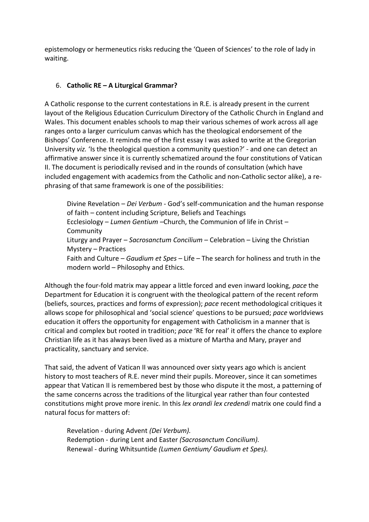epistemology or hermeneutics risks reducing the 'Queen of Sciences' to the role of lady in waiting.

### 6. **Catholic RE – A Liturgical Grammar?**

A Catholic response to the current contestations in R.E. is already present in the current layout of the Religious Education Curriculum Directory of the Catholic Church in England and Wales. This document enables schools to map their various schemes of work across all age ranges onto a larger curriculum canvas which has the theological endorsement of the Bishops' Conference. It reminds me of the first essay I was asked to write at the Gregorian University *viz.* 'Is the theological question a community question?' - and one can detect an affirmative answer since it is currently schematized around the four constitutions of Vatican II. The document is periodically revised and in the rounds of consultation (which have included engagement with academics from the Catholic and non-Catholic sector alike), a rephrasing of that same framework is one of the possibilities:

Divine Revelation – *Dei Verbum -* God's self-communication and the human response of faith – content including Scripture, Beliefs and Teachings Ecclesiology – *Lumen Gentium –*Church, the Communion of life in Christ – Community Liturgy and Prayer – *Sacrosanctum Concilium –* Celebration – Living the Christian Mystery – Practices Faith and Culture – *Gaudium et Spes –* Life – The search for holiness and truth in the modern world – Philosophy and Ethics.

Although the four-fold matrix may appear a little forced and even inward looking, *pace* the Department for Education it is congruent with the theological pattern of the recent reform (beliefs, sources, practices and forms of expression); *pace* recent methodological critiques it allows scope for philosophical and 'social science' questions to be pursued; *pace* worldviews education it offers the opportunity for engagement with Catholicism in a manner that is critical and complex but rooted in tradition; *pace* 'RE for real' it offers the chance to explore Christian life as it has always been lived as a mixture of Martha and Mary, prayer and practicality, sanctuary and service.

That said, the advent of Vatican II was announced over sixty years ago which is ancient history to most teachers of R.E. never mind their pupils. Moreover, since it can sometimes appear that Vatican II is remembered best by those who dispute it the most, a patterning of the same concerns across the traditions of the liturgical year rather than four contested constitutions might prove more irenic. In this *lex orandi lex credendi* matrix one could find a natural focus for matters of:

Revelation - during Advent *(Dei Verbum).* Redemption - during Lent and Easter *(Sacrosanctum Concilium).* Renewal - during Whitsuntide *(Lumen Gentium/ Gaudium et Spes).*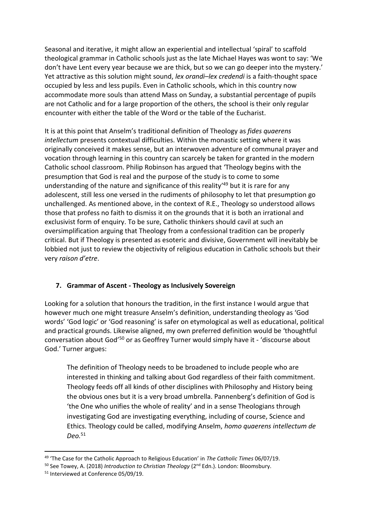Seasonal and iterative, it might allow an experiential and intellectual 'spiral' to scaffold theological grammar in Catholic schools just as the late Michael Hayes was wont to say: 'We don't have Lent every year because we are thick, but so we can go deeper into the mystery.' Yet attractive as this solution might sound, *lex orandi–lex credendi* is a faith-thought space occupied by less and less pupils. Even in Catholic schools, which in this country now accommodate more souls than attend Mass on Sunday, a substantial percentage of pupils are not Catholic and for a large proportion of the others, the school is their only regular encounter with either the table of the Word or the table of the Eucharist.

It is at this point that Anselm's traditional definition of Theology as *fides quaerens intellectum* presents contextual difficulties. Within the monastic setting where it was originally conceived it makes sense, but an interwoven adventure of communal prayer and vocation through learning in this country can scarcely be taken for granted in the modern Catholic school classroom. Philip Robinson has argued that 'Theology begins with the presumption that God is real and the purpose of the study is to come to some understanding of the nature and significance of this reality<sup>'49</sup> but it is rare for any adolescent, still less one versed in the rudiments of philosophy to let that presumption go unchallenged. As mentioned above, in the context of R.E., Theology so understood allows those that profess no faith to dismiss it on the grounds that it is both an irrational and exclusivist form of enquiry. To be sure, Catholic thinkers should cavil at such an oversimplification arguing that Theology from a confessional tradition can be properly critical. But if Theology is presented as esoteric and divisive, Government will inevitably be lobbied not just to review the objectivity of religious education in Catholic schools but their very *raison d'etre*.

# **7. Grammar of Ascent - Theology as Inclusively Sovereign**

Looking for a solution that honours the tradition, in the first instance I would argue that however much one might treasure Anselm's definition, understanding theology as 'God words' 'God logic' or 'God reasoning' is safer on etymological as well as educational, political and practical grounds. Likewise aligned, my own preferred definition would be 'thoughtful conversation about God'<sup>50</sup> or as Geoffrey Turner would simply have it - 'discourse about God.' Turner argues:

The definition of Theology needs to be broadened to include people who are interested in thinking and talking about God regardless of their faith commitment. Theology feeds off all kinds of other disciplines with Philosophy and History being the obvious ones but it is a very broad umbrella. Pannenberg's definition of God is 'the One who unifies the whole of reality' and in a sense Theologians through investigating God are investigating everything, including of course, Science and Ethics. Theology could be called, modifying Anselm, *homo quaerens intellectum de Deo.*<sup>51</sup>

<sup>49</sup> 'The Case for the Catholic Approach to Religious Education' in *The Catholic Times* 06/07/19.

<sup>&</sup>lt;sup>50</sup> See Towey, A. (2018) *Introduction to Christian Theology* (2<sup>nd</sup> Edn.). London: Bloomsbury.

<sup>&</sup>lt;sup>51</sup> Interviewed at Conference 05/09/19.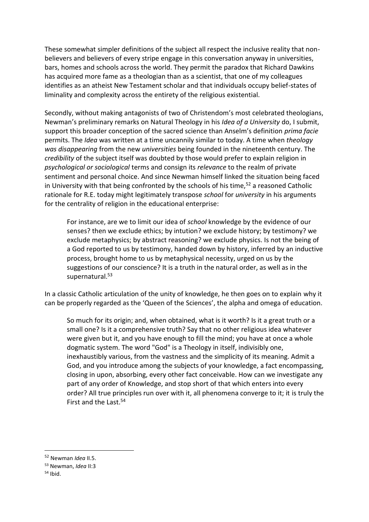These somewhat simpler definitions of the subject all respect the inclusive reality that nonbelievers and believers of every stripe engage in this conversation anyway in universities, bars, homes and schools across the world. They permit the paradox that Richard Dawkins has acquired more fame as a theologian than as a scientist, that one of my colleagues identifies as an atheist New Testament scholar and that individuals occupy belief-states of liminality and complexity across the entirety of the religious existential.

Secondly, without making antagonists of two of Christendom's most celebrated theologians, Newman's preliminary remarks on Natural Theology in his *Idea of a University* do, I submit, support this broader conception of the sacred science than Anselm's definition *prima facie*  permits. The *Idea* was written at a time uncannily similar to today. A time when *theology was disappearing* from the new *universities* being founded in the nineteenth century. The *credibility* of the subject itself was doubted by those would prefer to explain religion in *psychological or sociological* terms and consign its *relevance* to the realm of private sentiment and personal choice. And since Newman himself linked the situation being faced in University with that being confronted by the schools of his time,  $52$  a reasoned Catholic rationale for R.E. today might legitimately transpose *school* for *university* in his arguments for the centrality of religion in the educational enterprise:

For instance, are we to limit our idea of *school* knowledge by the evidence of our senses? then we exclude ethics; by intution? we exclude history; by testimony? we exclude metaphysics; by abstract reasoning? we exclude physics. Is not the being of a God reported to us by testimony, handed down by history, inferred by an inductive process, brought home to us by metaphysical necessity, urged on us by the suggestions of our conscience? It is a truth in the natural order, as well as in the supernatural.<sup>53</sup>

In a classic Catholic articulation of the unity of knowledge, he then goes on to explain why it can be properly regarded as the 'Queen of the Sciences', the alpha and omega of education.

So much for its origin; and, when obtained, what is it worth? Is it a great truth or a small one? Is it a comprehensive truth? Say that no other religious idea whatever were given but it, and you have enough to fill the mind; you have at once a whole dogmatic system. The word "God" is a Theology in itself, indivisibly one, inexhaustibly various, from the vastness and the simplicity of its meaning. Admit a God, and you introduce among the subjects of your knowledge, a fact encompassing, closing in upon, absorbing, every other fact conceivable. How can we investigate any part of any order of Knowledge, and stop short of that which enters into every order? All true principles run over with it, all phenomena converge to it; it is truly the First and the Last.<sup>54</sup>

<sup>52</sup> Newman *Idea* II.5.

<sup>53</sup> Newman, *Idea* II:3

 $54$  Ibid.